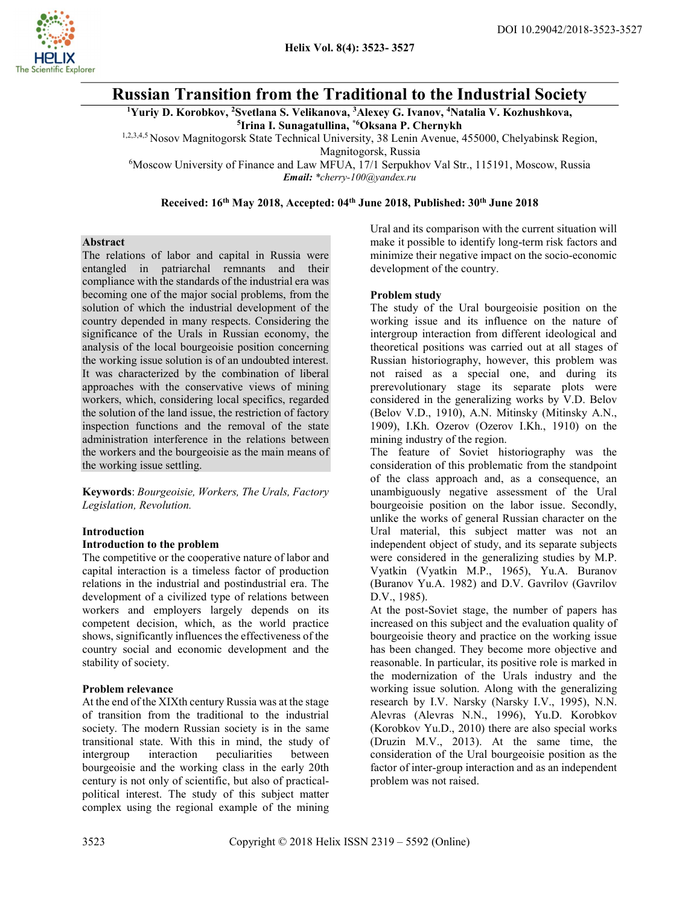# Russian Transition from the Traditional to the Industrial Society

<sup>1</sup>Yuriy D. Korobkov, <sup>2</sup>Svetlana S. Velikanova, <sup>3</sup>Alexey G. Ivanov, <sup>4</sup>Natalia V. Kozhushkova, <sup>5</sup>Irina I. Sunagatullina, \*6Oksana P. Chernykh

1,2,3,4,5 Nosov Magnitogorsk State Technical University, 38 Lenin Avenue, 455000, Chelyabinsk Region, Magnitogorsk, Russia

<sup>6</sup>Moscow University of Finance and Law MFUA, 17/1 Serpukhov Val Str., 115191, Moscow, Russia Email: \*cherry-100@yandex.ru

Received: 16<sup>th</sup> May 2018, Accepted: 04<sup>th</sup> June 2018, Published: 30<sup>th</sup> June 2018

#### Abstract

The relations of labor and capital in Russia were entangled in patriarchal remnants and their compliance with the standards of the industrial era was becoming one of the major social problems, from the solution of which the industrial development of the country depended in many respects. Considering the significance of the Urals in Russian economy, the analysis of the local bourgeoisie position concerning the working issue solution is of an undoubted interest. It was characterized by the combination of liberal approaches with the conservative views of mining workers, which, considering local specifics, regarded the solution of the land issue, the restriction of factory inspection functions and the removal of the state administration interference in the relations between the workers and the bourgeoisie as the main means of the working issue settling.

Keywords: Bourgeoisie, Workers, The Urals, Factory Legislation, Revolution.

### Introduction

#### Introduction to the problem

The competitive or the cooperative nature of labor and capital interaction is a timeless factor of production relations in the industrial and postindustrial era. The development of a civilized type of relations between workers and employers largely depends on its competent decision, which, as the world practice shows, significantly influences the effectiveness of the country social and economic development and the stability of society.

### Problem relevance

At the end of the XIXth century Russia was at the stage of transition from the traditional to the industrial society. The modern Russian society is in the same transitional state. With this in mind, the study of intergroup interaction peculiarities between bourgeoisie and the working class in the early 20th century is not only of scientific, but also of practicalpolitical interest. The study of this subject matter complex using the regional example of the mining Ural and its comparison with the current situation will make it possible to identify long-term risk factors and minimize their negative impact on the socio-economic development of the country.

### Problem study

The study of the Ural bourgeoisie position on the working issue and its influence on the nature of intergroup interaction from different ideological and theoretical positions was carried out at all stages of Russian historiography, however, this problem was not raised as a special one, and during its prerevolutionary stage its separate plots were considered in the generalizing works by V.D. Belov (Belov V.D., 1910), A.N. Mitinsky (Mitinsky A.N., 1909), I.Kh. Ozerov (Ozerov I.Kh., 1910) on the mining industry of the region.

The feature of Soviet historiography was the consideration of this problematic from the standpoint of the class approach and, as a consequence, an unambiguously negative assessment of the Ural bourgeoisie position on the labor issue. Secondly, unlike the works of general Russian character on the Ural material, this subject matter was not an independent object of study, and its separate subjects were considered in the generalizing studies by M.P. Vyatkin (Vyatkin M.P., 1965), Yu.A. Buranov (Buranov Yu.A. 1982) and D.V. Gavrilov (Gavrilov D.V., 1985).

At the post-Soviet stage, the number of papers has increased on this subject and the evaluation quality of bourgeoisie theory and practice on the working issue has been changed. They become more objective and reasonable. In particular, its positive role is marked in the modernization of the Urals industry and the working issue solution. Along with the generalizing research by I.V. Narsky (Narsky I.V., 1995), N.N. Alevras (Alevras N.N., 1996), Yu.D. Korobkov (Korobkov Yu.D., 2010) there are also special works (Druzin M.V., 2013). At the same time, the consideration of the Ural bourgeoisie position as the factor of inter-group interaction and as an independent problem was not raised.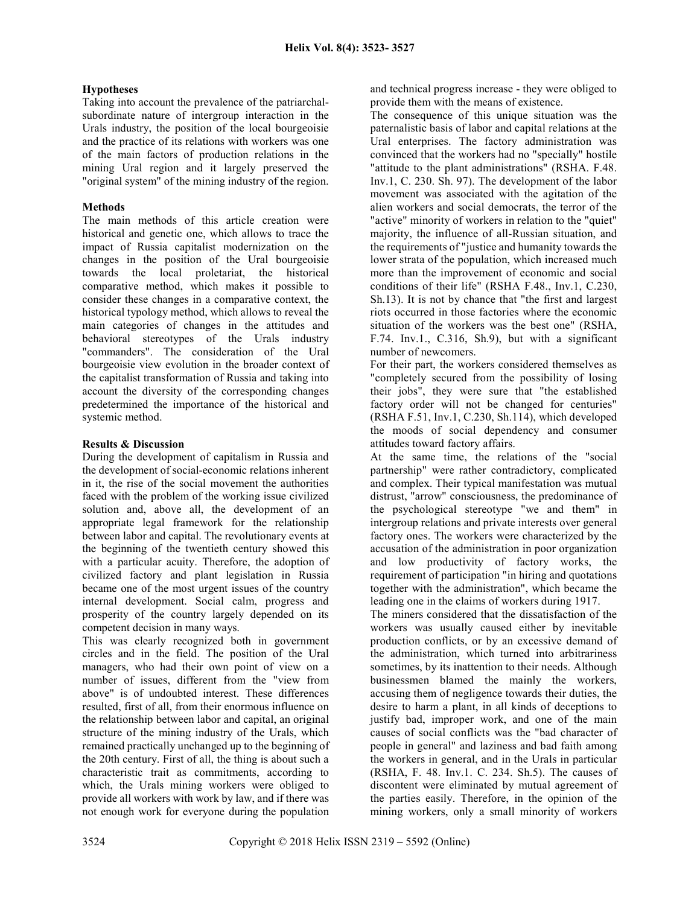### Hypotheses

Taking into account the prevalence of the patriarchalsubordinate nature of intergroup interaction in the Urals industry, the position of the local bourgeoisie and the practice of its relations with workers was one of the main factors of production relations in the mining Ural region and it largely preserved the "original system" of the mining industry of the region.

## Methods

The main methods of this article creation were historical and genetic one, which allows to trace the impact of Russia capitalist modernization on the changes in the position of the Ural bourgeoisie towards the local proletariat, the historical comparative method, which makes it possible to consider these changes in a comparative context, the historical typology method, which allows to reveal the main categories of changes in the attitudes and behavioral stereotypes of the Urals industry "commanders". The consideration of the Ural bourgeoisie view evolution in the broader context of the capitalist transformation of Russia and taking into account the diversity of the corresponding changes predetermined the importance of the historical and systemic method.

### Results & Discussion

During the development of capitalism in Russia and the development of social-economic relations inherent in it, the rise of the social movement the authorities faced with the problem of the working issue civilized solution and, above all, the development of an appropriate legal framework for the relationship between labor and capital. The revolutionary events at the beginning of the twentieth century showed this with a particular acuity. Therefore, the adoption of civilized factory and plant legislation in Russia became one of the most urgent issues of the country internal development. Social calm, progress and prosperity of the country largely depended on its competent decision in many ways.

This was clearly recognized both in government circles and in the field. The position of the Ural managers, who had their own point of view on a number of issues, different from the "view from above" is of undoubted interest. These differences resulted, first of all, from their enormous influence on the relationship between labor and capital, an original structure of the mining industry of the Urals, which remained practically unchanged up to the beginning of the 20th century. First of all, the thing is about such a characteristic trait as commitments, according to which, the Urals mining workers were obliged to provide all workers with work by law, and if there was not enough work for everyone during the population

and technical progress increase - they were obliged to provide them with the means of existence.

The consequence of this unique situation was the paternalistic basis of labor and capital relations at the Ural enterprises. The factory administration was convinced that the workers had no "specially" hostile "attitude to the plant administrations" (RSHA. F.48. Inv.1, C. 230. Sh. 97). The development of the labor movement was associated with the agitation of the alien workers and social democrats, the terror of the "active" minority of workers in relation to the "quiet" majority, the influence of all-Russian situation, and the requirements of "justice and humanity towards the lower strata of the population, which increased much more than the improvement of economic and social conditions of their life" (RSHA F.48., Inv.1, C.230, Sh.13). It is not by chance that "the first and largest riots occurred in those factories where the economic situation of the workers was the best one" (RSHA, F.74. Inv.1., C.316, Sh.9), but with a significant number of newcomers.

For their part, the workers considered themselves as "completely secured from the possibility of losing their jobs", they were sure that "the established factory order will not be changed for centuries" (RSHA F.51, Inv.1, C.230, Sh.114), which developed the moods of social dependency and consumer attitudes toward factory affairs.

At the same time, the relations of the "social partnership" were rather contradictory, complicated and complex. Their typical manifestation was mutual distrust, "arrow" consciousness, the predominance of the psychological stereotype "we and them" in intergroup relations and private interests over general factory ones. The workers were characterized by the accusation of the administration in poor organization and low productivity of factory works, the requirement of participation "in hiring and quotations together with the administration", which became the leading one in the claims of workers during 1917.

The miners considered that the dissatisfaction of the workers was usually caused either by inevitable production conflicts, or by an excessive demand of the administration, which turned into arbitrariness sometimes, by its inattention to their needs. Although businessmen blamed the mainly the workers, accusing them of negligence towards their duties, the desire to harm a plant, in all kinds of deceptions to justify bad, improper work, and one of the main causes of social conflicts was the "bad character of people in general" and laziness and bad faith among the workers in general, and in the Urals in particular (RSHA, F. 48. Inv.1. C. 234. Sh.5). The causes of discontent were eliminated by mutual agreement of the parties easily. Therefore, in the opinion of the mining workers, only a small minority of workers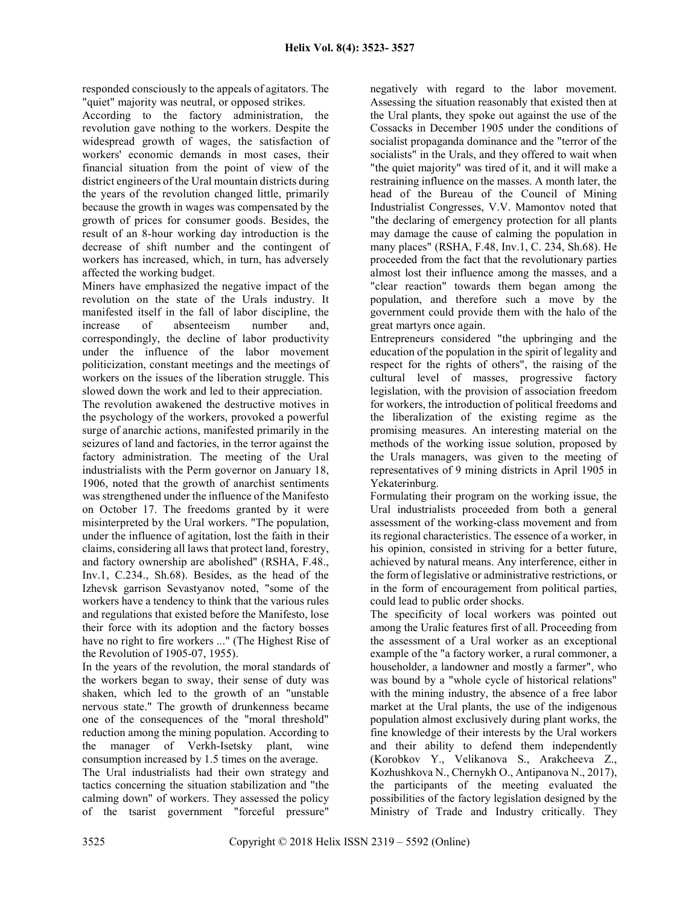responded consciously to the appeals of agitators. The "quiet" majority was neutral, or opposed strikes.

According to the factory administration, the revolution gave nothing to the workers. Despite the widespread growth of wages, the satisfaction of workers' economic demands in most cases, their financial situation from the point of view of the district engineers of the Ural mountain districts during the years of the revolution changed little, primarily because the growth in wages was compensated by the growth of prices for consumer goods. Besides, the result of an 8-hour working day introduction is the decrease of shift number and the contingent of workers has increased, which, in turn, has adversely affected the working budget.

Miners have emphasized the negative impact of the revolution on the state of the Urals industry. It manifested itself in the fall of labor discipline, the increase of absenteeism number and, correspondingly, the decline of labor productivity under the influence of the labor movement politicization, constant meetings and the meetings of workers on the issues of the liberation struggle. This slowed down the work and led to their appreciation.

The revolution awakened the destructive motives in the psychology of the workers, provoked a powerful surge of anarchic actions, manifested primarily in the seizures of land and factories, in the terror against the factory administration. The meeting of the Ural industrialists with the Perm governor on January 18, 1906, noted that the growth of anarchist sentiments was strengthened under the influence of the Manifesto on October 17. The freedoms granted by it were misinterpreted by the Ural workers. "The population, under the influence of agitation, lost the faith in their claims, considering all laws that protect land, forestry, and factory ownership are abolished" (RSHA, F.48., Inv.1, C.234., Sh.68). Besides, as the head of the Izhevsk garrison Sevastyanov noted, "some of the workers have a tendency to think that the various rules and regulations that existed before the Manifesto, lose their force with its adoption and the factory bosses have no right to fire workers ..." (The Highest Rise of the Revolution of 1905-07, 1955).

In the years of the revolution, the moral standards of the workers began to sway, their sense of duty was shaken, which led to the growth of an "unstable nervous state." The growth of drunkenness became one of the consequences of the "moral threshold" reduction among the mining population. According to the manager of Verkh-Isetsky plant, wine consumption increased by 1.5 times on the average.

The Ural industrialists had their own strategy and tactics concerning the situation stabilization and "the calming down" of workers. They assessed the policy of the tsarist government "forceful pressure"

negatively with regard to the labor movement. Assessing the situation reasonably that existed then at the Ural plants, they spoke out against the use of the Cossacks in December 1905 under the conditions of socialist propaganda dominance and the "terror of the socialists" in the Urals, and they offered to wait when "the quiet majority" was tired of it, and it will make a restraining influence on the masses. A month later, the head of the Bureau of the Council of Mining Industrialist Congresses, V.V. Mamontov noted that "the declaring of emergency protection for all plants may damage the cause of calming the population in many places" (RSHA, F.48, Inv.1, C. 234, Sh.68). He proceeded from the fact that the revolutionary parties almost lost their influence among the masses, and a "clear reaction" towards them began among the population, and therefore such a move by the government could provide them with the halo of the great martyrs once again.

Entrepreneurs considered "the upbringing and the education of the population in the spirit of legality and respect for the rights of others", the raising of the cultural level of masses, progressive factory legislation, with the provision of association freedom for workers, the introduction of political freedoms and the liberalization of the existing regime as the promising measures. An interesting material on the methods of the working issue solution, proposed by the Urals managers, was given to the meeting of representatives of 9 mining districts in April 1905 in Yekaterinburg.

Formulating their program on the working issue, the Ural industrialists proceeded from both a general assessment of the working-class movement and from its regional characteristics. The essence of a worker, in his opinion, consisted in striving for a better future, achieved by natural means. Any interference, either in the form of legislative or administrative restrictions, or in the form of encouragement from political parties, could lead to public order shocks.

The specificity of local workers was pointed out among the Uralic features first of all. Proceeding from the assessment of a Ural worker as an exceptional example of the "a factory worker, a rural commoner, a householder, a landowner and mostly a farmer", who was bound by a "whole cycle of historical relations" with the mining industry, the absence of a free labor market at the Ural plants, the use of the indigenous population almost exclusively during plant works, the fine knowledge of their interests by the Ural workers and their ability to defend them independently (Korobkov Y., Velikanova S., Arakcheeva Z., Kozhushkova N., Chernykh O., Antipanova N., 2017), the participants of the meeting evaluated the possibilities of the factory legislation designed by the Ministry of Trade and Industry critically. They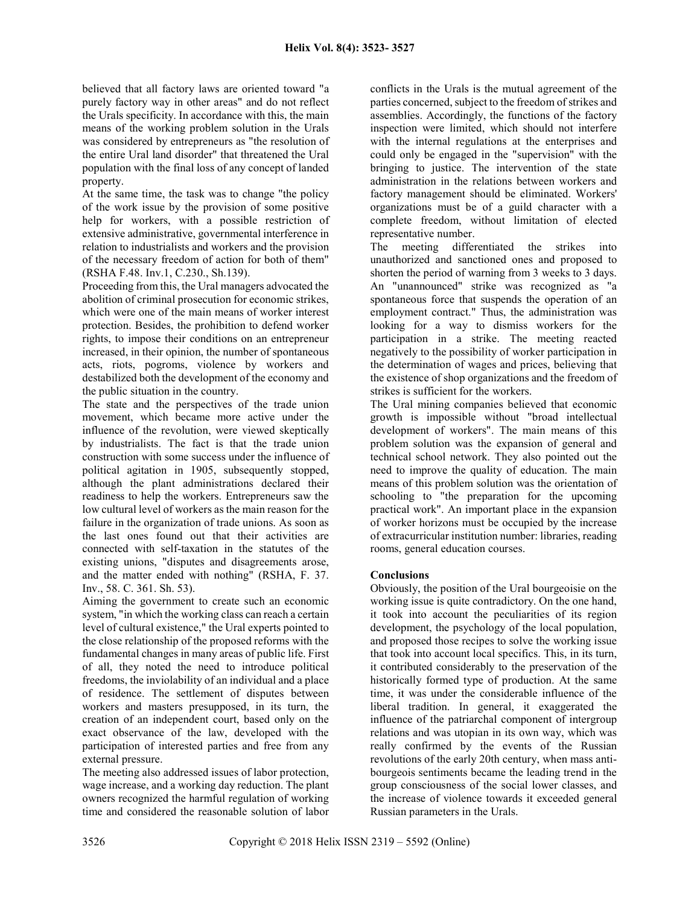believed that all factory laws are oriented toward "a purely factory way in other areas" and do not reflect the Urals specificity. In accordance with this, the main means of the working problem solution in the Urals was considered by entrepreneurs as "the resolution of the entire Ural land disorder" that threatened the Ural population with the final loss of any concept of landed property.

At the same time, the task was to change "the policy of the work issue by the provision of some positive help for workers, with a possible restriction of extensive administrative, governmental interference in relation to industrialists and workers and the provision of the necessary freedom of action for both of them" (RSHA F.48. Inv.1, C.230., Sh.139).

Proceeding from this, the Ural managers advocated the abolition of criminal prosecution for economic strikes, which were one of the main means of worker interest protection. Besides, the prohibition to defend worker rights, to impose their conditions on an entrepreneur increased, in their opinion, the number of spontaneous acts, riots, pogroms, violence by workers and destabilized both the development of the economy and the public situation in the country.

The state and the perspectives of the trade union movement, which became more active under the influence of the revolution, were viewed skeptically by industrialists. The fact is that the trade union construction with some success under the influence of political agitation in 1905, subsequently stopped, although the plant administrations declared their readiness to help the workers. Entrepreneurs saw the low cultural level of workers as the main reason for the failure in the organization of trade unions. As soon as the last ones found out that their activities are connected with self-taxation in the statutes of the existing unions, "disputes and disagreements arose, and the matter ended with nothing" (RSHA, F. 37. Inv., 58. C. 361. Sh. 53).

Aiming the government to create such an economic system, "in which the working class can reach a certain level of cultural existence," the Ural experts pointed to the close relationship of the proposed reforms with the fundamental changes in many areas of public life. First of all, they noted the need to introduce political freedoms, the inviolability of an individual and a place of residence. The settlement of disputes between workers and masters presupposed, in its turn, the creation of an independent court, based only on the exact observance of the law, developed with the participation of interested parties and free from any external pressure.

The meeting also addressed issues of labor protection, wage increase, and a working day reduction. The plant owners recognized the harmful regulation of working time and considered the reasonable solution of labor conflicts in the Urals is the mutual agreement of the parties concerned, subject to the freedom of strikes and assemblies. Accordingly, the functions of the factory inspection were limited, which should not interfere with the internal regulations at the enterprises and could only be engaged in the "supervision" with the bringing to justice. The intervention of the state administration in the relations between workers and factory management should be eliminated. Workers' organizations must be of a guild character with a complete freedom, without limitation of elected representative number.

The meeting differentiated the strikes into unauthorized and sanctioned ones and proposed to shorten the period of warning from 3 weeks to 3 days. An "unannounced" strike was recognized as "a spontaneous force that suspends the operation of an employment contract." Thus, the administration was looking for a way to dismiss workers for the participation in a strike. The meeting reacted negatively to the possibility of worker participation in the determination of wages and prices, believing that the existence of shop organizations and the freedom of strikes is sufficient for the workers.

The Ural mining companies believed that economic growth is impossible without "broad intellectual development of workers". The main means of this problem solution was the expansion of general and technical school network. They also pointed out the need to improve the quality of education. The main means of this problem solution was the orientation of schooling to "the preparation for the upcoming practical work". An important place in the expansion of worker horizons must be occupied by the increase of extracurricular institution number: libraries, reading rooms, general education courses.

### **Conclusions**

Obviously, the position of the Ural bourgeoisie on the working issue is quite contradictory. On the one hand, it took into account the peculiarities of its region development, the psychology of the local population, and proposed those recipes to solve the working issue that took into account local specifics. This, in its turn, it contributed considerably to the preservation of the historically formed type of production. At the same time, it was under the considerable influence of the liberal tradition. In general, it exaggerated the influence of the patriarchal component of intergroup relations and was utopian in its own way, which was really confirmed by the events of the Russian revolutions of the early 20th century, when mass antibourgeois sentiments became the leading trend in the group consciousness of the social lower classes, and the increase of violence towards it exceeded general Russian parameters in the Urals.